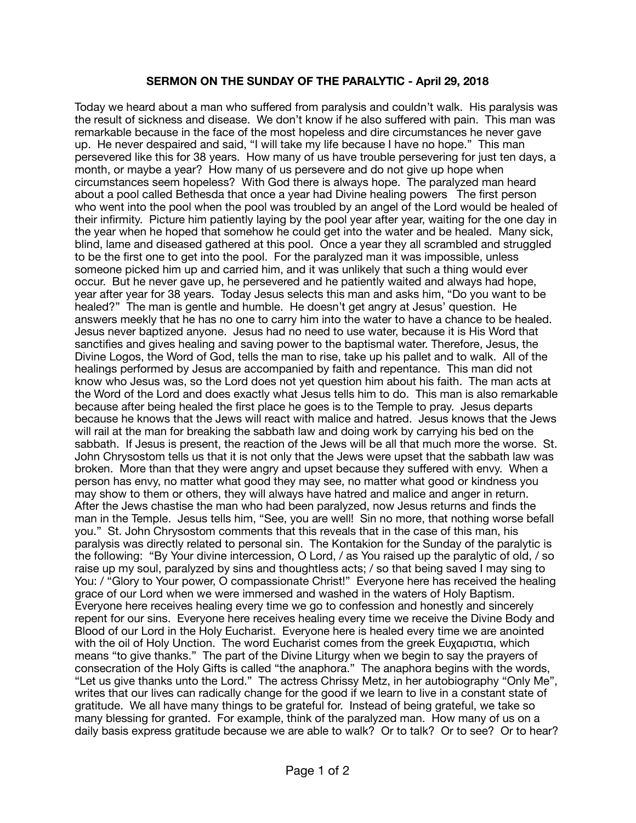## **SERMON ON THE SUNDAY OF THE PARALYTIC - April 29, 2018**

Today we heard about a man who suffered from paralysis and couldn't walk. His paralysis was the result of sickness and disease. We don't know if he also suffered with pain. This man was remarkable because in the face of the most hopeless and dire circumstances he never gave up. He never despaired and said, "I will take my life because I have no hope." This man persevered like this for 38 years. How many of us have trouble persevering for just ten days, a month, or maybe a year? How many of us persevere and do not give up hope when circumstances seem hopeless? With God there is always hope. The paralyzed man heard about a pool called Bethesda that once a year had Divine healing powers The first person who went into the pool when the pool was troubled by an angel of the Lord would be healed of their infirmity. Picture him patiently laying by the pool year after year, waiting for the one day in the year when he hoped that somehow he could get into the water and be healed. Many sick, blind, lame and diseased gathered at this pool. Once a year they all scrambled and struggled to be the first one to get into the pool. For the paralyzed man it was impossible, unless someone picked him up and carried him, and it was unlikely that such a thing would ever occur. But he never gave up, he persevered and he patiently waited and always had hope, year after year for 38 years. Today Jesus selects this man and asks him, "Do you want to be healed?" The man is gentle and humble. He doesn't get angry at Jesus' question. He answers meekly that he has no one to carry him into the water to have a chance to be healed. Jesus never baptized anyone. Jesus had no need to use water, because it is His Word that sanctifies and gives healing and saving power to the baptismal water. Therefore, Jesus, the Divine Logos, the Word of God, tells the man to rise, take up his pallet and to walk. All of the healings performed by Jesus are accompanied by faith and repentance. This man did not know who Jesus was, so the Lord does not yet question him about his faith. The man acts at the Word of the Lord and does exactly what Jesus tells him to do. This man is also remarkable because after being healed the first place he goes is to the Temple to pray. Jesus departs because he knows that the Jews will react with malice and hatred. Jesus knows that the Jews will rail at the man for breaking the sabbath law and doing work by carrying his bed on the sabbath. If Jesus is present, the reaction of the Jews will be all that much more the worse. St. John Chrysostom tells us that it is not only that the Jews were upset that the sabbath law was broken. More than that they were angry and upset because they suffered with envy. When a person has envy, no matter what good they may see, no matter what good or kindness you may show to them or others, they will always have hatred and malice and anger in return. After the Jews chastise the man who had been paralyzed, now Jesus returns and finds the man in the Temple. Jesus tells him, "See, you are well! Sin no more, that nothing worse befall you." St. John Chrysostom comments that this reveals that in the case of this man, his paralysis was directly related to personal sin. The Kontakion for the Sunday of the paralytic is the following: "By Your divine intercession, O Lord, / as You raised up the paralytic of old, / so raise up my soul, paralyzed by sins and thoughtless acts; / so that being saved I may sing to You: / "Glory to Your power, O compassionate Christ!" Everyone here has received the healing grace of our Lord when we were immersed and washed in the waters of Holy Baptism. Everyone here receives healing every time we go to confession and honestly and sincerely repent for our sins. Everyone here receives healing every time we receive the Divine Body and Blood of our Lord in the Holy Eucharist. Everyone here is healed every time we are anointed with the oil of Holy Unction. The word Eucharist comes from the greek Ευχαριστια, which means "to give thanks." The part of the Divine Liturgy when we begin to say the prayers of consecration of the Holy Gifts is called "the anaphora." The anaphora begins with the words, "Let us give thanks unto the Lord." The actress Chrissy Metz, in her autobiography "Only Me", writes that our lives can radically change for the good if we learn to live in a constant state of gratitude. We all have many things to be grateful for. Instead of being grateful, we take so many blessing for granted. For example, think of the paralyzed man. How many of us on a daily basis express gratitude because we are able to walk? Or to talk? Or to see? Or to hear?